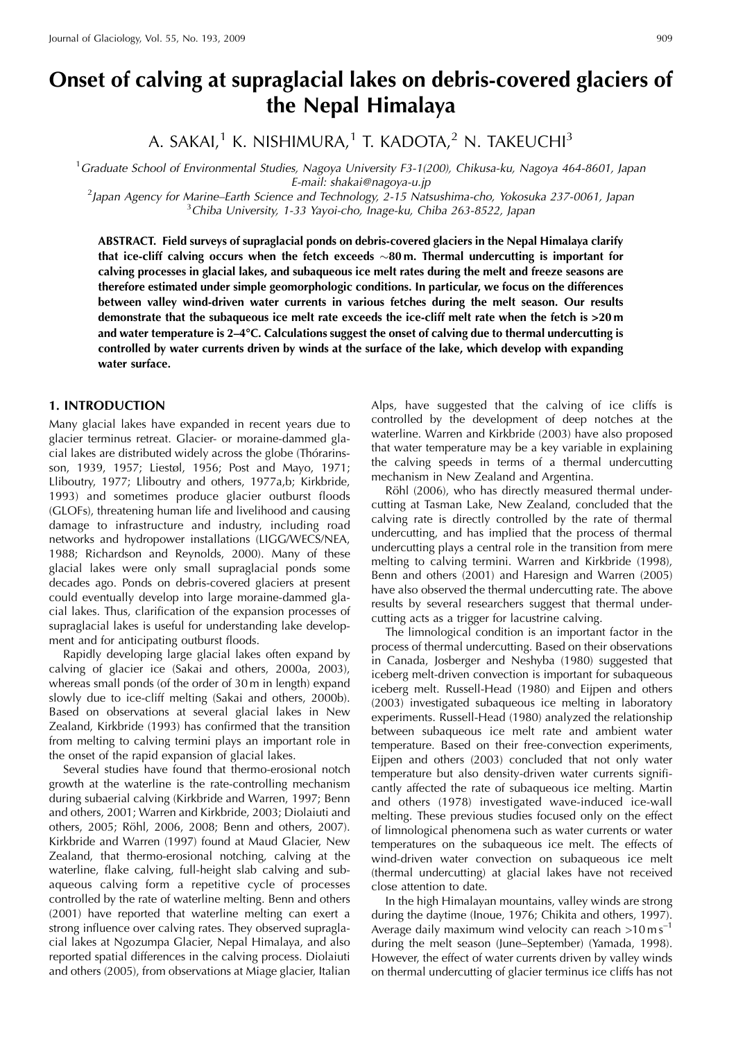# **Onset of calving at supraglacial lakes on debris-covered glaciers of the Nepal Himalaya**

A. SAKAI,<sup>1</sup> K. NISHIMURA,<sup>1</sup> T. KADOTA,<sup>2</sup> N. TAKEUCHI<sup>3</sup>

<sup>1</sup> Graduate School of Environmental Studies, Nagoya University F3-1(200), Chikusa-ku, Nagoya 464-8601, Japan

E-mail: shakai@nagoya-u.jp<br><sup>2</sup> lanan Agoncy for Marino, Earth Science and Technology, 2.15 Nat Japan Agency for Marine–Earth Science and Technology, 2-15 Natsushima-cho, Yokosuka 237-0061, Japan<br>3 Chiberti University, 1-33 Yayoi-cho, Inage-ku, Chiba 263-8522, Japan  $3$ Chiba University, 1-33 Yayoi-cho, Inage-ku, Chiba 263-8522, Japan

**ABSTRACT. Field surveys of supraglacial ponds on debris-covered glaciers in the Nepal Himalaya clarify that ice-cliff calving occurs when the fetch exceeds** -**80 m. Thermal undercutting is important for calving processes in glacial lakes, and subaqueous ice melt rates during the melt and freeze seasons are therefore estimated under simple geomorphologic conditions. In particular, we focus on the differences between valley wind-driven water currents in various fetches during the melt season. Our results demonstrate that the subaqueous ice melt rate exceeds the ice-cliff melt rate when the fetch is >20 m and water temperature is 2–4**8**C. Calculations suggest the onset of calving due to thermal undercutting is controlled by water currents driven by winds at the surface of the lake, which develop with expanding water surface.**

#### **1. INTRODUCTION**

Many glacial lakes have expanded in recent years due to glacier terminus retreat. Glacier- or moraine-dammed glacial lakes are distributed widely across the globe (Thórarinsson, 1939, 1957; Liestøl, 1956; Post and Mayo, 1971; Lliboutry, 1977; Lliboutry and others, 1977a,b; Kirkbride, 1993) and sometimes produce glacier outburst floods (GLOFs), threatening human life and livelihood and causing damage to infrastructure and industry, including road networks and hydropower installations (LIGG/WECS/NEA, 1988; Richardson and Reynolds, 2000). Many of these glacial lakes were only small supraglacial ponds some decades ago. Ponds on debris-covered glaciers at present could eventually develop into large moraine-dammed glacial lakes. Thus, clarification of the expansion processes of supraglacial lakes is useful for understanding lake development and for anticipating outburst floods.

Rapidly developing large glacial lakes often expand by calving of glacier ice (Sakai and others, 2000a, 2003), whereas small ponds (of the order of 30 m in length) expand slowly due to ice-cliff melting (Sakai and others, 2000b). Based on observations at several glacial lakes in New Zealand, Kirkbride (1993) has confirmed that the transition from melting to calving termini plays an important role in the onset of the rapid expansion of glacial lakes.

Several studies have found that thermo-erosional notch growth at the waterline is the rate-controlling mechanism during subaerial calving (Kirkbride and Warren, 1997; Benn and others, 2001; Warren and Kirkbride, 2003; Diolaiuti and others, 2005; Röhl, 2006, 2008; Benn and others, 2007). Kirkbride and Warren (1997) found at Maud Glacier, New Zealand, that thermo-erosional notching, calving at the waterline, flake calving, full-height slab calving and subaqueous calving form a repetitive cycle of processes controlled by the rate of waterline melting. Benn and others (2001) have reported that waterline melting can exert a strong influence over calving rates. They observed supraglacial lakes at Ngozumpa Glacier, Nepal Himalaya, and also reported spatial differences in the calving process. Diolaiuti and others (2005), from observations at Miage glacier, Italian

Alps, have suggested that the calving of ice cliffs is controlled by the development of deep notches at the waterline. Warren and Kirkbride (2003) have also proposed that water temperature may be a key variable in explaining the calving speeds in terms of a thermal undercutting mechanism in New Zealand and Argentina.

Röhl (2006), who has directly measured thermal undercutting at Tasman Lake, New Zealand, concluded that the calving rate is directly controlled by the rate of thermal undercutting, and has implied that the process of thermal undercutting plays a central role in the transition from mere melting to calving termini. Warren and Kirkbride (1998), Benn and others (2001) and Haresign and Warren (2005) have also observed the thermal undercutting rate. The above results by several researchers suggest that thermal undercutting acts as a trigger for lacustrine calving.

The limnological condition is an important factor in the process of thermal undercutting. Based on their observations in Canada, Josberger and Neshyba (1980) suggested that iceberg melt-driven convection is important for subaqueous iceberg melt. Russell-Head (1980) and Eijpen and others (2003) investigated subaqueous ice melting in laboratory experiments. Russell-Head (1980) analyzed the relationship between subaqueous ice melt rate and ambient water temperature. Based on their free-convection experiments, Eijpen and others (2003) concluded that not only water temperature but also density-driven water currents significantly affected the rate of subaqueous ice melting. Martin and others (1978) investigated wave-induced ice-wall melting. These previous studies focused only on the effect of limnological phenomena such as water currents or water temperatures on the subaqueous ice melt. The effects of wind-driven water convection on subaqueous ice melt (thermal undercutting) at glacial lakes have not received close attention to date.

In the high Himalayan mountains, valley winds are strong during the daytime (Inoue, 1976; Chikita and others, 1997). Average daily maximum wind velocity can reach  $>10 \text{ m s}^{-1}$ during the melt season (June–September) (Yamada, 1998). However, the effect of water currents driven by valley winds on thermal undercutting of glacier terminus ice cliffs has not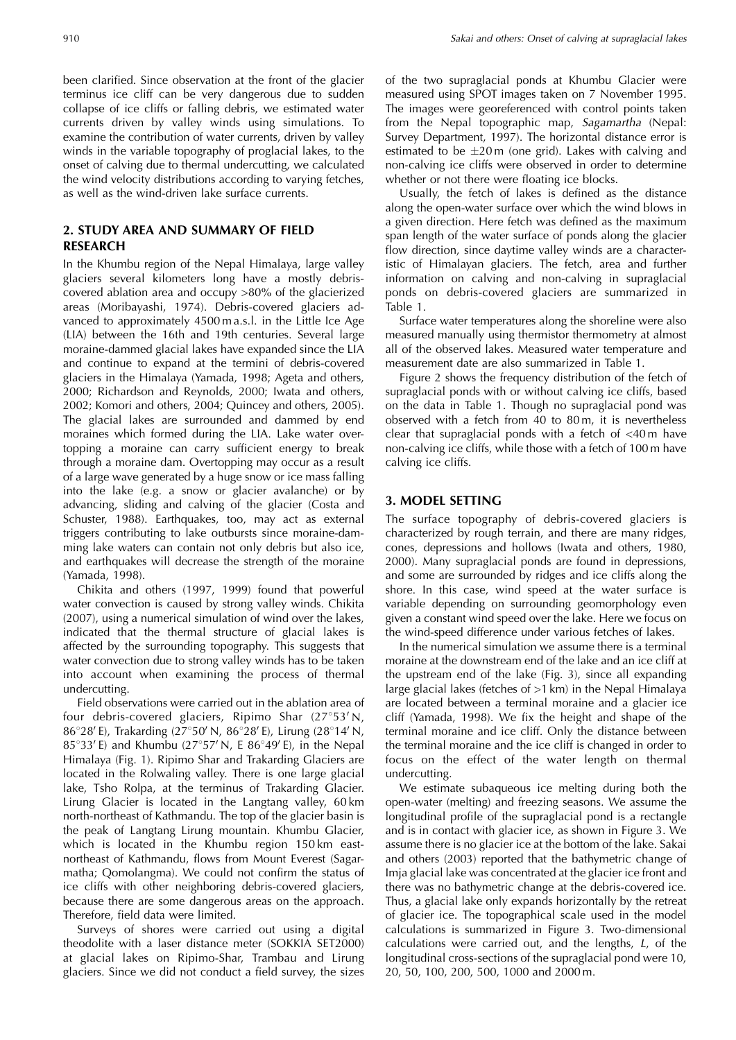been clarified. Since observation at the front of the glacier terminus ice cliff can be very dangerous due to sudden collapse of ice cliffs or falling debris, we estimated water currents driven by valley winds using simulations. To examine the contribution of water currents, driven by valley winds in the variable topography of proglacial lakes, to the onset of calving due to thermal undercutting, we calculated the wind velocity distributions according to varying fetches, as well as the wind-driven lake surface currents.

## **2. STUDY AREA AND SUMMARY OF FIELD RESEARCH**

In the Khumbu region of the Nepal Himalaya, large valley glaciers several kilometers long have a mostly debriscovered ablation area and occupy >80% of the glacierized areas (Moribayashi, 1974). Debris-covered glaciers advanced to approximately 4500 m a.s.l. in the Little Ice Age (LIA) between the 16th and 19th centuries. Several large moraine-dammed glacial lakes have expanded since the LIA and continue to expand at the termini of debris-covered glaciers in the Himalaya (Yamada, 1998; Ageta and others, 2000; Richardson and Reynolds, 2000; Iwata and others, 2002; Komori and others, 2004; Quincey and others, 2005). The glacial lakes are surrounded and dammed by end moraines which formed during the LIA. Lake water overtopping a moraine can carry sufficient energy to break through a moraine dam. Overtopping may occur as a result of a large wave generated by a huge snow or ice mass falling into the lake (e.g. a snow or glacier avalanche) or by advancing, sliding and calving of the glacier (Costa and Schuster, 1988). Earthquakes, too, may act as external triggers contributing to lake outbursts since moraine-damming lake waters can contain not only debris but also ice, and earthquakes will decrease the strength of the moraine (Yamada, 1998).

Chikita and others (1997, 1999) found that powerful water convection is caused by strong valley winds. Chikita (2007), using a numerical simulation of wind over the lakes, indicated that the thermal structure of glacial lakes is affected by the surrounding topography. This suggests that water convection due to strong valley winds has to be taken into account when examining the process of thermal undercutting.

Field observations were carried out in the ablation area of four debris-covered glaciers, Ripimo Shar  $(27°53'N,$ 86°28'E), Trakarding (27°50'N, 86°28'E), Lirung (28°14'N, 85°33'E) and Khumbu (27°57'N, E 86°49'E), in the Nepal Himalaya (Fig. 1). Ripimo Shar and Trakarding Glaciers are located in the Rolwaling valley. There is one large glacial lake, Tsho Rolpa, at the terminus of Trakarding Glacier. Lirung Glacier is located in the Langtang valley, 60 km north-northeast of Kathmandu. The top of the glacier basin is the peak of Langtang Lirung mountain. Khumbu Glacier, which is located in the Khumbu region 150 km eastnortheast of Kathmandu, flows from Mount Everest (Sagarmatha; Qomolangma). We could not confirm the status of ice cliffs with other neighboring debris-covered glaciers, because there are some dangerous areas on the approach. Therefore, field data were limited.

Surveys of shores were carried out using a digital theodolite with a laser distance meter (SOKKIA SET2000) at glacial lakes on Ripimo-Shar, Trambau and Lirung glaciers. Since we did not conduct a field survey, the sizes of the two supraglacial ponds at Khumbu Glacier were measured using SPOT images taken on 7 November 1995. The images were georeferenced with control points taken from the Nepal topographic map, Sagamartha (Nepal: Survey Department, 1997). The horizontal distance error is estimated to be  $\pm 20$  m (one grid). Lakes with calving and non-calving ice cliffs were observed in order to determine whether or not there were floating ice blocks.

Usually, the fetch of lakes is defined as the distance along the open-water surface over which the wind blows in a given direction. Here fetch was defined as the maximum span length of the water surface of ponds along the glacier flow direction, since daytime valley winds are a characteristic of Himalayan glaciers. The fetch, area and further information on calving and non-calving in supraglacial ponds on debris-covered glaciers are summarized in Table 1.

Surface water temperatures along the shoreline were also measured manually using thermistor thermometry at almost all of the observed lakes. Measured water temperature and measurement date are also summarized in Table 1.

Figure 2 shows the frequency distribution of the fetch of supraglacial ponds with or without calving ice cliffs, based on the data in Table 1. Though no supraglacial pond was observed with a fetch from 40 to 80 m, it is nevertheless clear that supraglacial ponds with a fetch of <40 m have non-calving ice cliffs, while those with a fetch of 100 m have calving ice cliffs.

## **3. MODEL SETTING**

The surface topography of debris-covered glaciers is characterized by rough terrain, and there are many ridges, cones, depressions and hollows (Iwata and others, 1980, 2000). Many supraglacial ponds are found in depressions, and some are surrounded by ridges and ice cliffs along the shore. In this case, wind speed at the water surface is variable depending on surrounding geomorphology even given a constant wind speed over the lake. Here we focus on the wind-speed difference under various fetches of lakes.

In the numerical simulation we assume there is a terminal moraine at the downstream end of the lake and an ice cliff at the upstream end of the lake (Fig. 3), since all expanding large glacial lakes (fetches of >1 km) in the Nepal Himalaya are located between a terminal moraine and a glacier ice cliff (Yamada, 1998). We fix the height and shape of the terminal moraine and ice cliff. Only the distance between the terminal moraine and the ice cliff is changed in order to focus on the effect of the water length on thermal undercutting.

We estimate subaqueous ice melting during both the open-water (melting) and freezing seasons. We assume the longitudinal profile of the supraglacial pond is a rectangle and is in contact with glacier ice, as shown in Figure 3. We assume there is no glacier ice at the bottom of the lake. Sakai and others (2003) reported that the bathymetric change of Imja glacial lake was concentrated at the glacier ice front and there was no bathymetric change at the debris-covered ice. Thus, a glacial lake only expands horizontally by the retreat of glacier ice. The topographical scale used in the model calculations is summarized in Figure 3. Two-dimensional calculations were carried out, and the lengths, L, of the longitudinal cross-sections of the supraglacial pond were 10, 20, 50, 100, 200, 500, 1000 and 2000 m.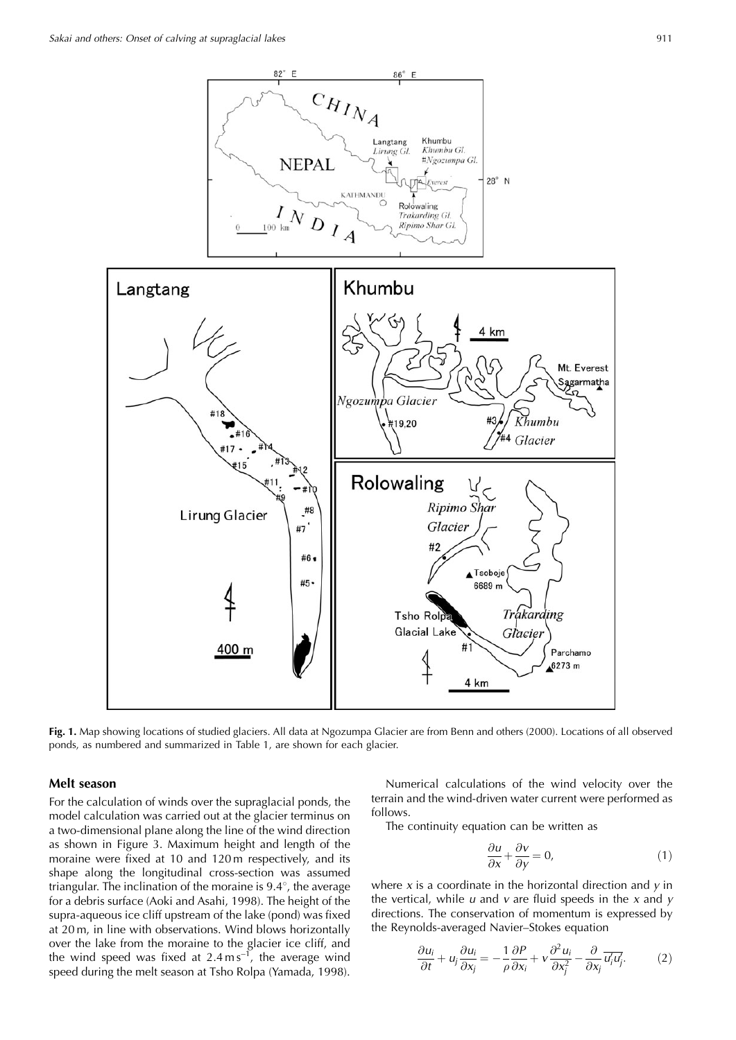

**Fig. 1.** Map showing locations of studied glaciers. All data at Ngozumpa Glacier are from Benn and others (2000). Locations of all observed ponds, as numbered and summarized in Table 1, are shown for each glacier.

## **Melt season**

For the calculation of winds over the supraglacial ponds, the model calculation was carried out at the glacier terminus on a two-dimensional plane along the line of the wind direction as shown in Figure 3. Maximum height and length of the moraine were fixed at 10 and 120 m respectively, and its shape along the longitudinal cross-section was assumed triangular. The inclination of the moraine is  $9.4^{\circ}$ , the average for a debris surface (Aoki and Asahi, 1998). The height of the supra-aqueous ice cliff upstream of the lake (pond) was fixed at 20 m, in line with observations. Wind blows horizontally over the lake from the moraine to the glacier ice cliff, and the wind speed was fixed at  $2.4 \text{ m s}^{-1}$ , the average wind speed during the melt season at Tsho Rolpa (Yamada, 1998).

Numerical calculations of the wind velocity over the terrain and the wind-driven water current were performed as follows.

The continuity equation can be written as

$$
\frac{\partial u}{\partial x} + \frac{\partial v}{\partial y} = 0,\tag{1}
$$

where  $x$  is a coordinate in the horizontal direction and  $y$  in the vertical, while  $u$  and  $v$  are fluid speeds in the  $x$  and  $y$ directions. The conservation of momentum is expressed by the Reynolds-averaged Navier–Stokes equation

$$
\frac{\partial u_i}{\partial t} + u_j \frac{\partial u_i}{\partial x_j} = -\frac{1}{\rho} \frac{\partial P}{\partial x_i} + v \frac{\partial^2 u_i}{\partial x_j^2} - \frac{\partial}{\partial x_j} \overline{u'_i u'_j}.
$$
 (2)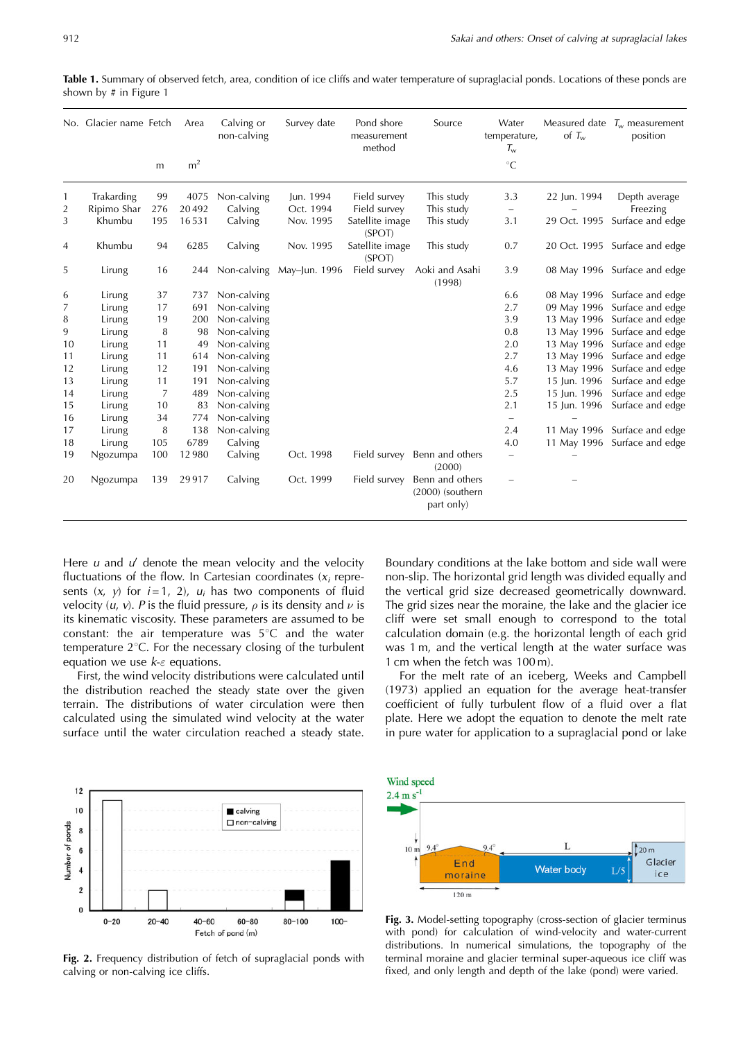|                | No. Glacier name Fetch |     | Area           | Calving or<br>non-calving | Survey date                   | Pond shore<br>measurement<br>method | Source                                              | Water<br>temperature,<br>$T_{\rm w}$ | of $T_w$     | Measured date $T_w$ measurement<br>position |
|----------------|------------------------|-----|----------------|---------------------------|-------------------------------|-------------------------------------|-----------------------------------------------------|--------------------------------------|--------------|---------------------------------------------|
|                |                        | m   | m <sup>2</sup> |                           |                               |                                     |                                                     | $^{\circ}C$                          |              |                                             |
| 1              | Trakarding             | 99  | 4075           | Non-calving               | Jun. 1994                     | Field survey                        | This study                                          | 3.3                                  | 22 Jun. 1994 | Depth average                               |
| 2              | Ripimo Shar            | 276 | 20492          | Calving                   | Oct. 1994                     | Field survey                        | This study                                          | $\overline{\phantom{a}}$             |              | Freezing                                    |
| 3              | Khumbu                 | 195 | 16531          | Calving                   | Nov. 1995                     | Satellite image<br>(SPOT)           | This study                                          | 3.1                                  | 29 Oct. 1995 | Surface and edge                            |
| $\overline{4}$ | Khumbu                 | 94  | 6285           | Calving                   | Nov. 1995                     | Satellite image<br>(SPOT)           | This study                                          | 0.7                                  |              | 20 Oct. 1995 Surface and edge               |
| 5              | Lirung                 | 16  |                |                           | 244 Non-calving May-Jun. 1996 | Field survey                        | Aoki and Asahi<br>(1998)                            | 3.9                                  |              | 08 May 1996 Surface and edge                |
| 6              | Lirung                 | 37  | 737            | Non-calving               |                               |                                     |                                                     | 6.6                                  |              | 08 May 1996 Surface and edge                |
| 7              | Lirung                 | 17  | 691            | Non-calving               |                               |                                     |                                                     | 2.7                                  | 09 May 1996  | Surface and edge                            |
| 8              | Lirung                 | 19  | 200            | Non-calving               |                               |                                     |                                                     | 3.9                                  | 13 May 1996  | Surface and edge                            |
| 9              | Lirung                 | 8   | 98             | Non-calving               |                               |                                     |                                                     | 0.8                                  | 13 May 1996  | Surface and edge                            |
| 10             | Lirung                 | 11  | 49             | Non-calving               |                               |                                     |                                                     | 2.0                                  | 13 May 1996  | Surface and edge                            |
| 11             | Lirung                 | 11  | 614            | Non-calving               |                               |                                     |                                                     | 2.7                                  | 13 May 1996  | Surface and edge                            |
| 12             | Lirung                 | 12  | 191            | Non-calving               |                               |                                     |                                                     | 4.6                                  | 13 May 1996  | Surface and edge                            |
| 13             | Lirung                 | 11  | 191            | Non-calving               |                               |                                     |                                                     | 5.7                                  | 15 Jun. 1996 | Surface and edge                            |
| 14             | Lirung                 | 7   | 489            | Non-calving               |                               |                                     |                                                     | 2.5                                  | 15 Jun. 1996 | Surface and edge                            |
| 15             | Lirung                 | 10  | 83             | Non-calving               |                               |                                     |                                                     | 2.1                                  | 15 Jun. 1996 | Surface and edge                            |
| 16             | Lirung                 | 34  | 774            | Non-calving               |                               |                                     |                                                     | $-$                                  |              |                                             |
| 17             | Lirung                 | 8   | 138            | Non-calving               |                               |                                     |                                                     | 2.4                                  | 11 May 1996  | Surface and edge                            |
| 18             | Lirung                 | 105 | 6789           | Calving                   |                               |                                     |                                                     | 4.0                                  |              | 11 May 1996 Surface and edge                |
| 19             | Ngozumpa               | 100 | 12980          | Calving                   | Oct. 1998                     |                                     | Field survey Benn and others<br>(2000)              | $\overline{\phantom{0}}$             |              |                                             |
| 20             | Ngozumpa               | 139 | 29917          | Calving                   | Oct. 1999                     | Field survey                        | Benn and others<br>$(2000)$ (southern<br>part only) |                                      |              |                                             |

**Table 1.** Summary of observed fetch, area, condition of ice cliffs and water temperature of supraglacial ponds. Locations of these ponds are shown by # in Figure 1

Here  $u$  and  $u'$  denote the mean velocity and the velocity fluctuations of the flow. In Cartesian coordinates  $(x<sub>i</sub>$  represents  $(x, y)$  for  $i = 1, 2$ ,  $u_i$  has two components of fluid velocity  $(u, v)$ . P is the fluid pressure,  $\rho$  is its density and  $\nu$  is its kinematic viscosity. These parameters are assumed to be constant: the air temperature was  $5^{\circ}$ C and the water temperature  $2^{\circ}$ C. For the necessary closing of the turbulent equation we use  $k$ - $\varepsilon$  equations.

First, the wind velocity distributions were calculated until the distribution reached the steady state over the given terrain. The distributions of water circulation were then calculated using the simulated wind velocity at the water surface until the water circulation reached a steady state. Boundary conditions at the lake bottom and side wall were non-slip. The horizontal grid length was divided equally and the vertical grid size decreased geometrically downward. The grid sizes near the moraine, the lake and the glacier ice cliff were set small enough to correspond to the total calculation domain (e.g. the horizontal length of each grid was 1 m, and the vertical length at the water surface was 1 cm when the fetch was 100 m).

For the melt rate of an iceberg, Weeks and Campbell (1973) applied an equation for the average heat-transfer coefficient of fully turbulent flow of a fluid over a flat plate. Here we adopt the equation to denote the melt rate in pure water for application to a supraglacial pond or lake



**Fig. 2.** Frequency distribution of fetch of supraglacial ponds with calving or non-calving ice cliffs.



**Fig. 3.** Model-setting topography (cross-section of glacier terminus with pond) for calculation of wind-velocity and water-current distributions. In numerical simulations, the topography of the terminal moraine and glacier terminal super-aqueous ice cliff was fixed, and only length and depth of the lake (pond) were varied.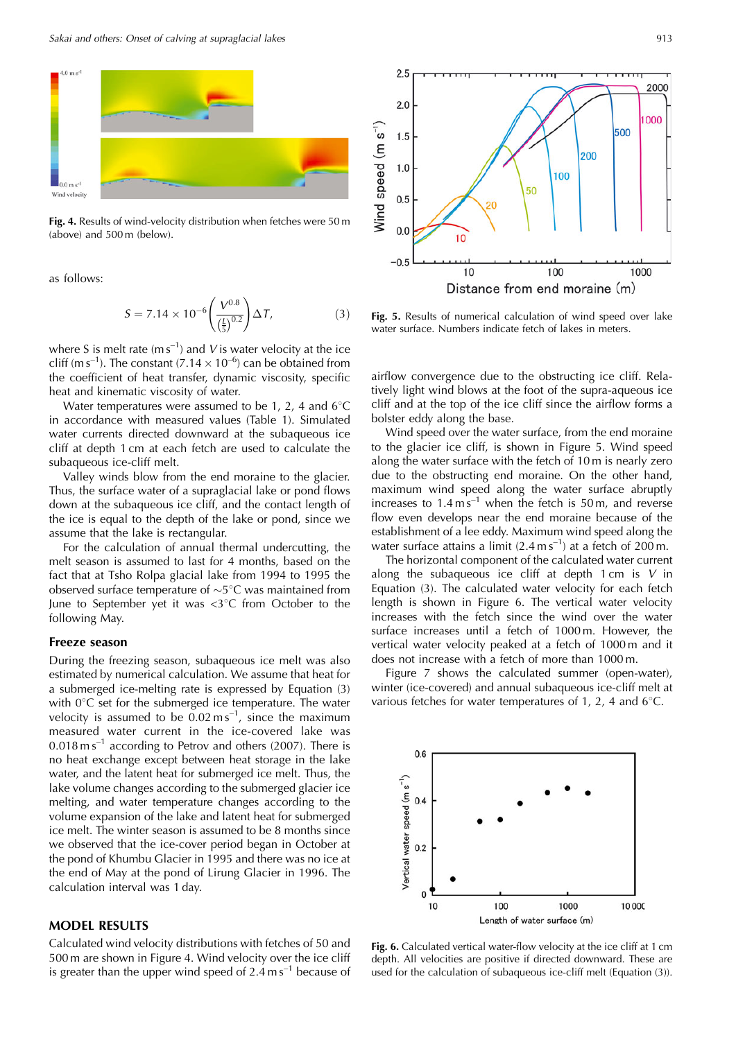

**Fig. 4.** Results of wind-velocity distribution when fetches were 50 m (above) and 500 m (below).

as follows:

$$
S = 7.14 \times 10^{-6} \left( \frac{V^{0.8}}{\left(\frac{I}{5}\right)^{0.2}} \right) \Delta T,\tag{3}
$$

where S is melt rate ( $ms^{-1}$ ) and V is water velocity at the ice cliff (m s<sup>-1</sup>). The constant (7.14  $\times$  10<sup>-6</sup>) can be obtained from the coefficient of heat transfer, dynamic viscosity, specific heat and kinematic viscosity of water.

Water temperatures were assumed to be 1, 2, 4 and  $6^{\circ}$ C in accordance with measured values (Table 1). Simulated water currents directed downward at the subaqueous ice cliff at depth 1 cm at each fetch are used to calculate the subaqueous ice-cliff melt.

Valley winds blow from the end moraine to the glacier. Thus, the surface water of a supraglacial lake or pond flows down at the subaqueous ice cliff, and the contact length of the ice is equal to the depth of the lake or pond, since we assume that the lake is rectangular.

For the calculation of annual thermal undercutting, the melt season is assumed to last for 4 months, based on the fact that at Tsho Rolpa glacial lake from 1994 to 1995 the observed surface temperature of  $\sim$ 5 $^{\circ}$ C was maintained from June to September yet it was  $\langle 3^{\circ}$ C from October to the following May.

#### **Freeze season**

During the freezing season, subaqueous ice melt was also estimated by numerical calculation. We assume that heat for a submerged ice-melting rate is expressed by Equation (3) with  $0^{\circ}$ C set for the submerged ice temperature. The water velocity is assumed to be  $0.02 \text{ m s}^{-1}$ , since the maximum measured water current in the ice-covered lake was  $0.018 \text{ m s}^{-1}$  according to Petrov and others (2007). There is no heat exchange except between heat storage in the lake water, and the latent heat for submerged ice melt. Thus, the lake volume changes according to the submerged glacier ice melting, and water temperature changes according to the volume expansion of the lake and latent heat for submerged ice melt. The winter season is assumed to be 8 months since we observed that the ice-cover period began in October at the pond of Khumbu Glacier in 1995 and there was no ice at the end of May at the pond of Lirung Glacier in 1996. The calculation interval was 1 day.

#### **MODEL RESULTS**

Calculated wind velocity distributions with fetches of 50 and 500 m are shown in Figure 4. Wind velocity over the ice cliff is greater than the upper wind speed of  $2.4 \text{ m s}^{-1}$  because of



**Fig. 5.** Results of numerical calculation of wind speed over lake water surface. Numbers indicate fetch of lakes in meters.

airflow convergence due to the obstructing ice cliff. Relatively light wind blows at the foot of the supra-aqueous ice cliff and at the top of the ice cliff since the airflow forms a bolster eddy along the base.

Wind speed over the water surface, from the end moraine to the glacier ice cliff, is shown in Figure 5. Wind speed along the water surface with the fetch of 10 m is nearly zero due to the obstructing end moraine. On the other hand, maximum wind speed along the water surface abruptly increases to  $1.4 \text{ m s}^{-1}$  when the fetch is 50 m, and reverse flow even develops near the end moraine because of the establishment of a lee eddy. Maximum wind speed along the water surface attains a limit  $(2.4 \text{ m s}^{-1})$  at a fetch of  $200 \text{ m}$ .

The horizontal component of the calculated water current along the subaqueous ice cliff at depth  $1 \text{ cm}$  is  $V$  in Equation (3). The calculated water velocity for each fetch length is shown in Figure 6. The vertical water velocity increases with the fetch since the wind over the water surface increases until a fetch of 1000 m. However, the vertical water velocity peaked at a fetch of 1000 m and it does not increase with a fetch of more than 1000 m.

Figure 7 shows the calculated summer (open-water), winter (ice-covered) and annual subaqueous ice-cliff melt at various fetches for water temperatures of 1, 2, 4 and  $6^{\circ}$ C.



**Fig. 6.** Calculated vertical water-flow velocity at the ice cliff at 1 cm depth. All velocities are positive if directed downward. These are used for the calculation of subaqueous ice-cliff melt (Equation (3)).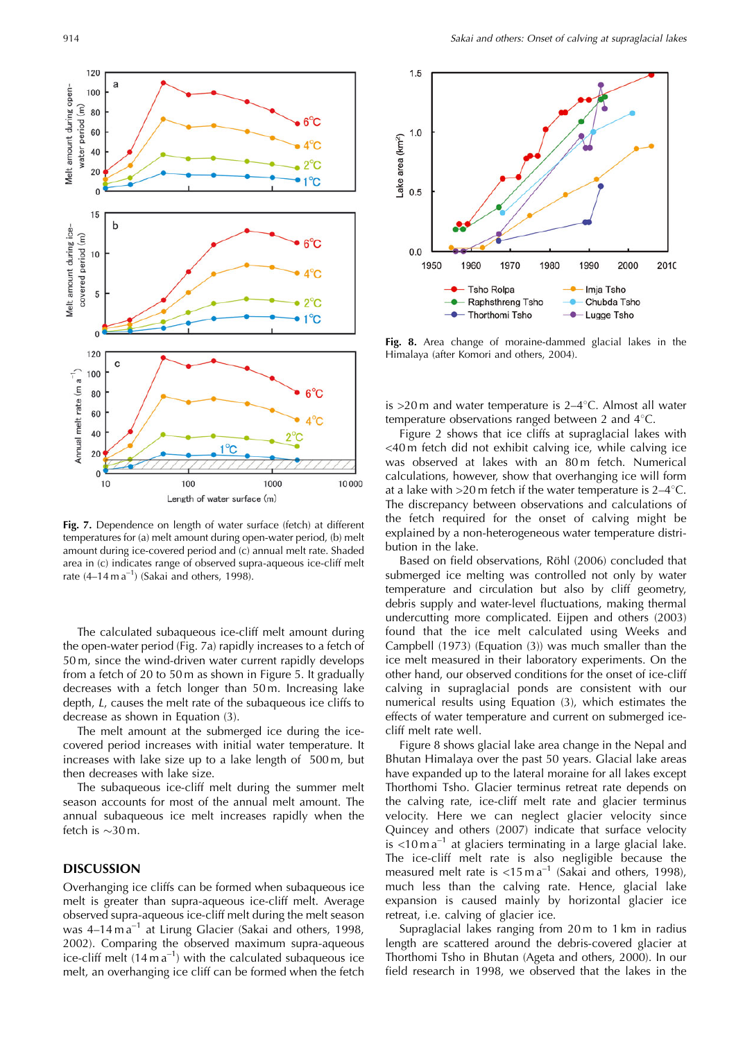

**Fig. 7.** Dependence on length of water surface (fetch) at different temperatures for (a) melt amount during open-water period, (b) melt amount during ice-covered period and (c) annual melt rate. Shaded area in (c) indicates range of observed supra-aqueous ice-cliff melt rate  $(4-14 \text{ m a}^{-1})$  (Sakai and others, 1998).

The calculated subaqueous ice-cliff melt amount during the open-water period (Fig. 7a) rapidly increases to a fetch of 50 m, since the wind-driven water current rapidly develops from a fetch of 20 to 50 m as shown in Figure 5. It gradually decreases with a fetch longer than 50 m. Increasing lake depth, L, causes the melt rate of the subaqueous ice cliffs to decrease as shown in Equation (3).

The melt amount at the submerged ice during the icecovered period increases with initial water temperature. It increases with lake size up to a lake length of 500 m, but then decreases with lake size.

The subaqueous ice-cliff melt during the summer melt season accounts for most of the annual melt amount. The annual subaqueous ice melt increases rapidly when the fetch is  $\sim$ 30 m.

### **DISCUSSION**

Overhanging ice cliffs can be formed when subaqueous ice melt is greater than supra-aqueous ice-cliff melt. Average observed supra-aqueous ice-cliff melt during the melt season was 4-14 m a<sup>-1</sup> at Lirung Glacier (Sakai and others, 1998, 2002). Comparing the observed maximum supra-aqueous ice-cliff melt  $(14 \text{ m a}^{-1})$  with the calculated subaqueous ice melt, an overhanging ice cliff can be formed when the fetch



**Fig. 8.** Area change of moraine-dammed glacial lakes in the Himalaya (after Komori and others, 2004).

is  $>20$  m and water temperature is  $2-4$ °C. Almost all water temperature observations ranged between 2 and  $4^{\circ}$ C.

Figure 2 shows that ice cliffs at supraglacial lakes with <40 m fetch did not exhibit calving ice, while calving ice was observed at lakes with an 80m fetch. Numerical calculations, however, show that overhanging ice will form at a lake with  $>20$  m fetch if the water temperature is  $2-4^{\circ}$ C. The discrepancy between observations and calculations of the fetch required for the onset of calving might be explained by a non-heterogeneous water temperature distribution in the lake.

Based on field observations, Röhl (2006) concluded that submerged ice melting was controlled not only by water temperature and circulation but also by cliff geometry, debris supply and water-level fluctuations, making thermal undercutting more complicated. Eijpen and others (2003) found that the ice melt calculated using Weeks and Campbell (1973) (Equation (3)) was much smaller than the ice melt measured in their laboratory experiments. On the other hand, our observed conditions for the onset of ice-cliff calving in supraglacial ponds are consistent with our numerical results using Equation (3), which estimates the effects of water temperature and current on submerged icecliff melt rate well.

Figure 8 shows glacial lake area change in the Nepal and Bhutan Himalaya over the past 50 years. Glacial lake areas have expanded up to the lateral moraine for all lakes except Thorthomi Tsho. Glacier terminus retreat rate depends on the calving rate, ice-cliff melt rate and glacier terminus velocity. Here we can neglect glacier velocity since Quincey and others (2007) indicate that surface velocity is  $\lt 10 \text{ m}$  a<sup>-1</sup> at glaciers terminating in a large glacial lake. The ice-cliff melt rate is also negligible because the measured melt rate is  $\lt 15$  m a<sup>-1</sup> (Sakai and others, 1998), much less than the calving rate. Hence, glacial lake expansion is caused mainly by horizontal glacier ice retreat, i.e. calving of glacier ice.

Supraglacial lakes ranging from 20 m to 1 km in radius length are scattered around the debris-covered glacier at Thorthomi Tsho in Bhutan (Ageta and others, 2000). In our field research in 1998, we observed that the lakes in the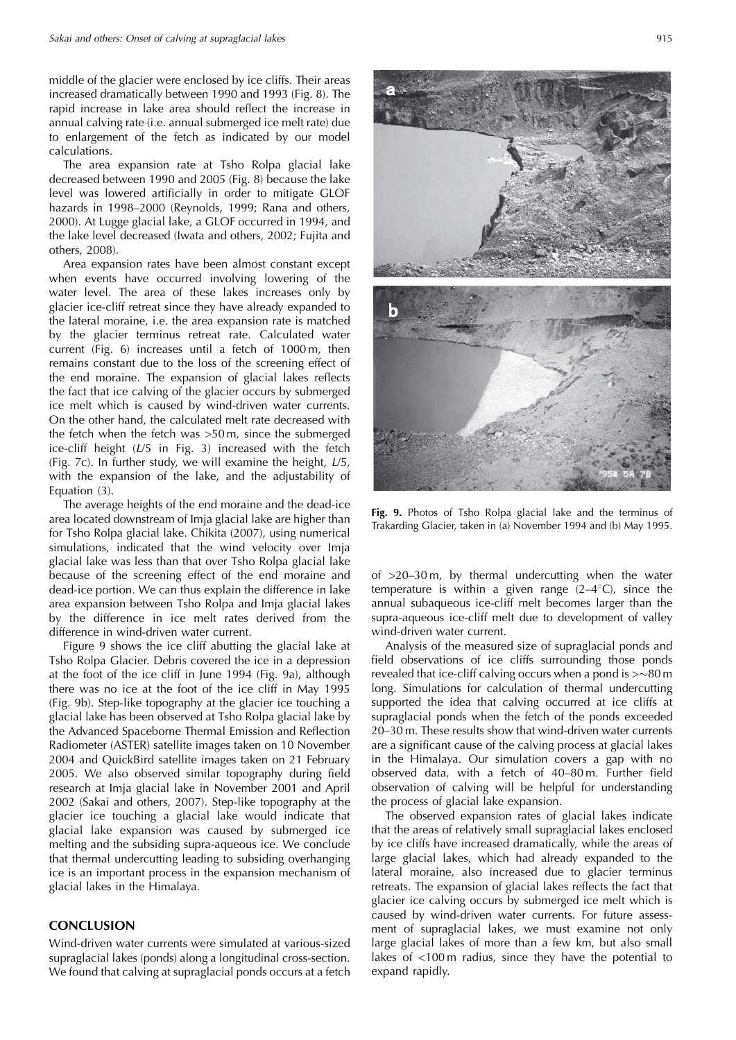middle of the glacier were enclosed by ice cliffs. Their areas increased dramatically between 1990 and 1993 (Fig. 8). The rapid increase in lake area should reflect the increase in annual calving rate (i.e. annual submerged ice melt rate) due to enlargement of the fetch as indicated by our model calculations.

The area expansion rate at Tsho Rolpa glacial lake decreased between 1990 and 2005 (Fig. 8) because the lake level was lowered artificially in order to mitigate GLOF hazards in 1998–2000 (Reynolds, 1999; Rana and others, 2000). At Lugge glacial lake, a GLOF occurred in 1994, and the lake level decreased (Iwata and others, 2002; Fujita and others, 2008).

Area expansion rates have been almost constant except when events have occurred involving lowering of the water level. The area of these lakes increases only by glacier ice-cliff retreat since they have already expanded to the lateral moraine, i.e. the area expansion rate is matched by the glacier terminus retreat rate. Calculated water current (Fig. 6) increases until a fetch of 1000 m, then remains constant due to the loss of the screening effect of the end moraine. The expansion of glacial lakes reflects the fact that ice calving of the glacier occurs by submerged ice melt which is caused by wind-driven water currents. On the other hand, the calculated melt rate decreased with the fetch when the fetch was >50 m, since the submerged ice-cliff height (L/5 in Fig. 3) increased with the fetch (Fig. 7c). In further study, we will examine the height, L/5, with the expansion of the lake, and the adjustability of Equation (3).

The average heights of the end moraine and the dead-ice area located downstream of Imja glacial lake are higher than for Tsho Rolpa glacial lake. Chikita (2007), using numerical simulations, indicated that the wind velocity over Imja glacial lake was less than that over Tsho Rolpa glacial lake because of the screening effect of the end moraine and dead-ice portion. We can thus explain the difference in lake area expansion between Tsho Rolpa and Imja glacial lakes by the difference in ice melt rates derived from the difference in wind-driven water current.

Figure 9 shows the ice cliff abutting the glacial lake at Tsho Rolpa Glacier. Debris covered the ice in a depression at the foot of the ice cliff in June 1994 (Fig. 9a), although there was no ice at the foot of the ice cliff in May 1995 (Fig. 9b). Step-like topography at the glacier ice touching a glacial lake has been observed at Tsho Rolpa glacial lake by the Advanced Spaceborne Thermal Emission and Reflection Radiometer (ASTER) satellite images taken on 10 November 2004 and QuickBird satellite images taken on 21 February 2005. We also observed similar topography during field research at Imja glacial lake in November 2001 and April 2002 (Sakai and others, 2007). Step-like topography at the glacier ice touching a glacial lake would indicate that glacial lake expansion was caused by submerged ice melting and the subsiding supra-aqueous ice. We conclude that thermal undercutting leading to subsiding overhanging ice is an important process in the expansion mechanism of glacial lakes in the Himalaya.

## **CONCLUSION**

Wind-driven water currents were simulated at various-sized supraglacial lakes (ponds) along a longitudinal cross-section. We found that calving at supraglacial ponds occurs at a fetch

**Fig. 9.** Photos of Tsho Rolpa glacial lake and the terminus of Trakarding Glacier, taken in (a) November 1994 and (b) May 1995.

of  $>20-30$  m, by thermal undercutting when the water temperature is within a given range  $(2-4\degree C)$ , since the annual subaqueous ice-cliff melt becomes larger than the supra-aqueous ice-cliff melt due to development of valley wind-driven water current.

Analysis of the measured size of supraglacial ponds and field observations of ice cliffs surrounding those ponds revealed that ice-cliff calving occurs when a pond is  $>\sim$ 80 m long. Simulations for calculation of thermal undercutting supported the idea that calving occurred at ice cliffs at supraglacial ponds when the fetch of the ponds exceeded 20–30 m. These results show that wind-driven water currents are a significant cause of the calving process at glacial lakes in the Himalaya. Our simulation covers a gap with no observed data, with a fetch of 40–80 m. Further field observation of calving will be helpful for understanding the process of glacial lake expansion.

The observed expansion rates of glacial lakes indicate that the areas of relatively small supraglacial lakes enclosed by ice cliffs have increased dramatically, while the areas of large glacial lakes, which had already expanded to the lateral moraine, also increased due to glacier terminus retreats. The expansion of glacial lakes reflects the fact that glacier ice calving occurs by submerged ice melt which is caused by wind-driven water currents. For future assessment of supraglacial lakes, we must examine not only large glacial lakes of more than a few km, but also small lakes of <100 m radius, since they have the potential to expand rapidly.

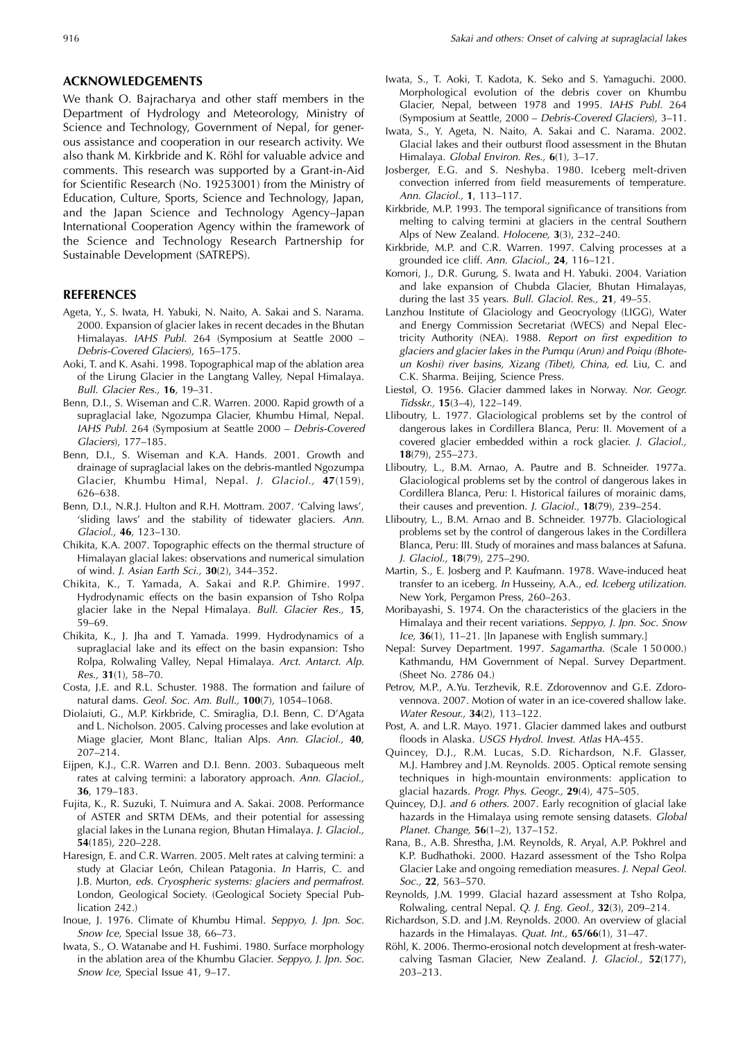### **ACKNOWLEDGEMENTS**

We thank O. Bajracharya and other staff members in the Department of Hydrology and Meteorology, Ministry of Science and Technology, Government of Nepal, for generous assistance and cooperation in our research activity. We also thank M. Kirkbride and K. Röhl for valuable advice and comments. This research was supported by a Grant-in-Aid for Scientific Research (No. 19253001) from the Ministry of Education, Culture, Sports, Science and Technology, Japan, and the Japan Science and Technology Agency–Japan International Cooperation Agency within the framework of the Science and Technology Research Partnership for Sustainable Development (SATREPS).

## **REFERENCES**

- Ageta, Y., S. Iwata, H. Yabuki, N. Naito, A. Sakai and S. Narama. 2000. Expansion of glacier lakes in recent decades in the Bhutan Himalayas. IAHS Publ. 264 (Symposium at Seattle 2000 – Debris-Covered Glaciers), 165–175.
- Aoki, T. and K. Asahi. 1998. Topographical map of the ablation area of the Lirung Glacier in the Langtang Valley, Nepal Himalaya. Bull. Glacier Res., **16**, 19–31.
- Benn, D.I., S. Wiseman and C.R. Warren. 2000. Rapid growth of a supraglacial lake, Ngozumpa Glacier, Khumbu Himal, Nepal. IAHS Publ. 264 (Symposium at Seattle 2000 – Debris-Covered Glaciers), 177–185.
- Benn, D.I., S. Wiseman and K.A. Hands. 2001. Growth and drainage of supraglacial lakes on the debris-mantled Ngozumpa Glacier, Khumbu Himal, Nepal. J. Glaciol., **47**(159), 626–638.
- Benn, D.I., N.R.J. Hulton and R.H. Mottram. 2007. 'Calving laws', 'sliding laws' and the stability of tidewater glaciers. Ann. Glaciol., **46**, 123–130.
- Chikita, K.A. 2007. Topographic effects on the thermal structure of Himalayan glacial lakes: observations and numerical simulation of wind. J. Asian Earth Sci., **30**(2), 344–352.
- Chikita, K., T. Yamada, A. Sakai and R.P. Ghimire. 1997. Hydrodynamic effects on the basin expansion of Tsho Rolpa glacier lake in the Nepal Himalaya. Bull. Glacier Res., **15**, 59–69.
- Chikita, K., J. Jha and T. Yamada. 1999. Hydrodynamics of a supraglacial lake and its effect on the basin expansion: Tsho Rolpa, Rolwaling Valley, Nepal Himalaya. Arct. Antarct. Alp. Res., **31**(1), 58–70.
- Costa, J.E. and R.L. Schuster. 1988. The formation and failure of natural dams. Geol. Soc. Am. Bull., **100**(7), 1054–1068.
- Diolaiuti, G., M.P. Kirkbride, C. Smiraglia, D.I. Benn, C. D'Agata and L. Nicholson. 2005. Calving processes and lake evolution at Miage glacier, Mont Blanc, Italian Alps. Ann. Glaciol., **40**, 207–214.
- Eijpen, K.J., C.R. Warren and D.I. Benn. 2003. Subaqueous melt rates at calving termini: a laboratory approach. Ann. Glaciol., **36**, 179–183.
- Fujita, K., R. Suzuki, T. Nuimura and A. Sakai. 2008. Performance of ASTER and SRTM DEMs, and their potential for assessing glacial lakes in the Lunana region, Bhutan Himalaya. J. Glaciol., **54**(185), 220–228.
- Haresign, E. and C.R. Warren. 2005. Melt rates at calving termini: a study at Glaciar León, Chilean Patagonia. In Harris, C. and J.B. Murton, eds. Cryospheric systems: glaciers and permafrost. London, Geological Society. (Geological Society Special Publication 242.)
- Inoue, J. 1976. Climate of Khumbu Himal. Seppyo, J. Jpn. Soc. Snow Ice, Special Issue 38, 66-73.
- Iwata, S., O. Watanabe and H. Fushimi. 1980. Surface morphology in the ablation area of the Khumbu Glacier. Seppyo, J. Jpn. Soc. Snow Ice, Special Issue 41, 9–17.
- Iwata, S., T. Aoki, T. Kadota, K. Seko and S. Yamaguchi. 2000. Morphological evolution of the debris cover on Khumbu Glacier, Nepal, between 1978 and 1995. IAHS Publ. 264 (Symposium at Seattle, 2000 – Debris-Covered Glaciers), 3–11.
- Iwata, S., Y. Ageta, N. Naito, A. Sakai and C. Narama. 2002. Glacial lakes and their outburst flood assessment in the Bhutan Himalaya. Global Environ. Res., **6**(1), 3–17.
- Josberger, E.G. and S. Neshyba. 1980. Iceberg melt-driven convection inferred from field measurements of temperature. Ann. Glaciol., **1**, 113–117.
- Kirkbride, M.P. 1993. The temporal significance of transitions from melting to calving termini at glaciers in the central Southern Alps of New Zealand. Holocene, **3**(3), 232–240.
- Kirkbride, M.P. and C.R. Warren. 1997. Calving processes at a grounded ice cliff. Ann. Glaciol., **24**, 116–121.
- Komori, J., D.R. Gurung, S. Iwata and H. Yabuki. 2004. Variation and lake expansion of Chubda Glacier, Bhutan Himalayas, during the last 35 years. Bull. Glaciol. Res., **21**, 49–55.
- Lanzhou Institute of Glaciology and Geocryology (LIGG), Water and Energy Commission Secretariat (WECS) and Nepal Electricity Authority (NEA). 1988. Report on first expedition to glaciers and glacier lakes in the Pumqu (Arun) and Poiqu (Bhoteun Koshi) river basins, Xizang (Tibet), China, ed. Liu, C. and C.K. Sharma. Beijing, Science Press.
- Liestøl, O. 1956. Glacier dammed lakes in Norway. Nor. Geogr. Tidsskr., **15**(3–4), 122–149.
- Lliboutry, L. 1977. Glaciological problems set by the control of dangerous lakes in Cordillera Blanca, Peru: II. Movement of a covered glacier embedded within a rock glacier. J. Glaciol., **18**(79), 255–273.
- Lliboutry, L., B.M. Arnao, A. Pautre and B. Schneider. 1977a. Glaciological problems set by the control of dangerous lakes in Cordillera Blanca, Peru: I. Historical failures of morainic dams, their causes and prevention. J. Glaciol., **18**(79), 239–254.
- Lliboutry, L., B.M. Arnao and B. Schneider. 1977b. Glaciological problems set by the control of dangerous lakes in the Cordillera Blanca, Peru: III. Study of moraines and mass balances at Safuna. J. Glaciol., **18**(79), 275–290.
- Martin, S., E. Josberg and P. Kaufmann. 1978. Wave-induced heat transfer to an iceberg. In Husseiny, A.A., ed. Iceberg utilization. New York, Pergamon Press, 260–263.
- Moribayashi, S. 1974. On the characteristics of the glaciers in the Himalaya and their recent variations. Seppyo, J. Jpn. Soc. Snow Ice, **36**(1), 11–21. [In Japanese with English summary.]
- Nepal: Survey Department. 1997. Sagamartha. (Scale 1 50 000.) Kathmandu, HM Government of Nepal. Survey Department. (Sheet No. 2786 04.)
- Petrov, M.P., A.Yu. Terzhevik, R.E. Zdorovennov and G.E. Zdorovennova. 2007. Motion of water in an ice-covered shallow lake. Water Resour., **34**(2), 113–122.
- Post, A. and L.R. Mayo. 1971. Glacier dammed lakes and outburst floods in Alaska. USGS Hydrol. Invest. Atlas HA-455.
- Quincey, D.J., R.M. Lucas, S.D. Richardson, N.F. Glasser, M.J. Hambrey and J.M. Reynolds. 2005. Optical remote sensing techniques in high-mountain environments: application to glacial hazards. Progr. Phys. Geogr., **29**(4), 475–505.
- Quincey, D.J. and 6 others. 2007. Early recognition of glacial lake hazards in the Himalaya using remote sensing datasets. Global Planet. Change, **56**(1–2), 137–152.
- Rana, B., A.B. Shrestha, J.M. Reynolds, R. Aryal, A.P. Pokhrel and K.P. Budhathoki. 2000. Hazard assessment of the Tsho Rolpa Glacier Lake and ongoing remediation measures. J. Nepal Geol. Soc., **22**, 563–570.
- Reynolds, J.M. 1999. Glacial hazard assessment at Tsho Rolpa, Rolwaling, central Nepal. Q. J. Eng. Geol., **32**(3), 209–214.
- Richardson, S.D. and J.M. Reynolds. 2000. An overview of glacial hazards in the Himalayas. Quat. Int., **65/66**(1), 31–47.
- Röhl, K. 2006. Thermo-erosional notch development at fresh-watercalving Tasman Glacier, New Zealand. J. Glaciol., **52**(177), 203–213.